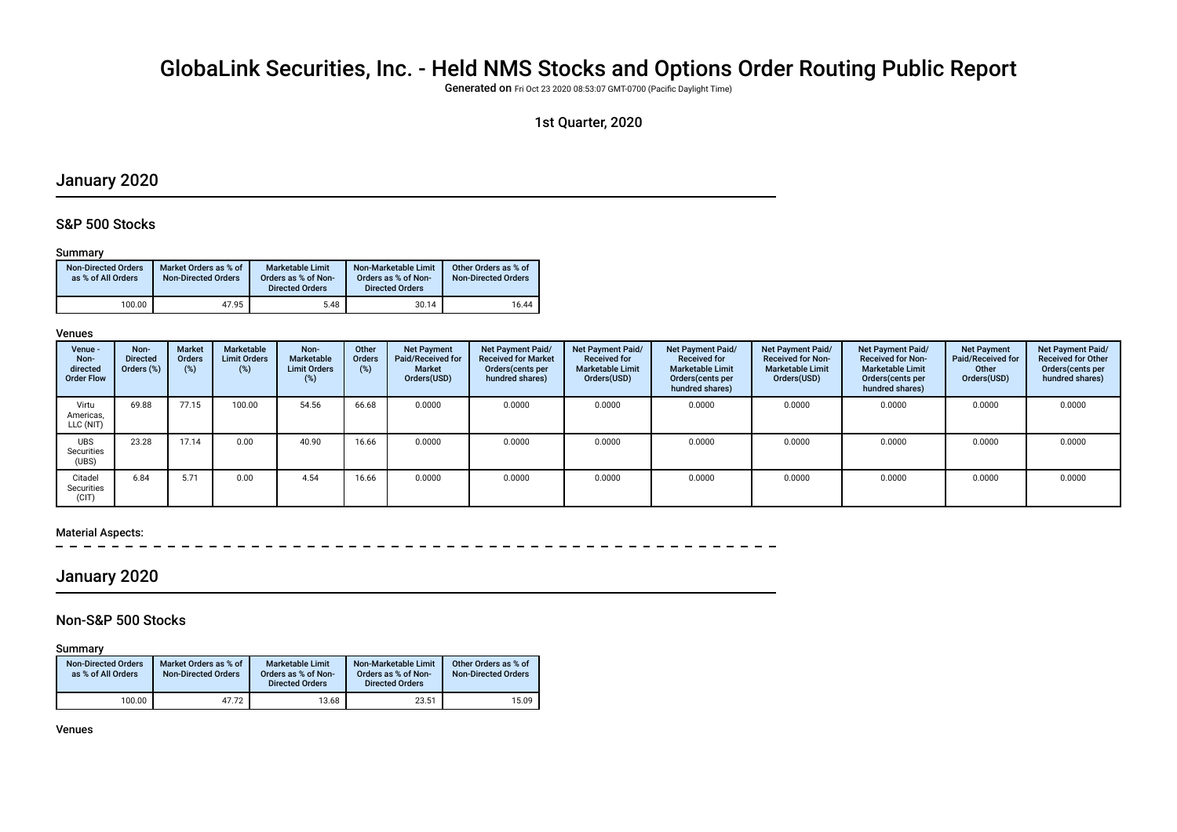# GlobaLink Securities, Inc. - Held NMS Stocks and Options Order Routing Public Report

Generated on Fri Oct 23 2020 08:53:07 GMT-0700 (Pacifc Daylight Time)

## 1st Quarter, 2020

## January 2020

## S&P 500 Stocks

#### Summary

| <b>Non-Directed Orders</b><br>as % of All Orders | Market Orders as % of<br><b>Non-Directed Orders</b> | Marketable Limit<br>Orders as % of Non-<br><b>Directed Orders</b> | Non-Marketable Limit<br>Orders as % of Non-<br><b>Directed Orders</b> | Other Orders as % of<br><b>Non-Directed Orders</b> |
|--------------------------------------------------|-----------------------------------------------------|-------------------------------------------------------------------|-----------------------------------------------------------------------|----------------------------------------------------|
| 100.00                                           | 47.95                                               | 5.48                                                              | 30.14                                                                 | 16.44                                              |

#### Venues

| Venue -<br>Non-<br>directed<br><b>Order Flow</b> | Non-<br><b>Directed</b><br>Orders (%) | Market<br><b>Orders</b><br>(%) | Marketable<br><b>Limit Orders</b><br>$(\%)$ | Non-<br>Marketable<br><b>Limit Orders</b><br>$(\%)$ | Other<br><b>Orders</b><br>(%) | <b>Net Payment</b><br>Paid/Received for<br><b>Market</b><br>Orders(USD) | Net Payment Paid/<br><b>Received for Market</b><br>Orders (cents per<br>hundred shares) | <b>Net Payment Paid/</b><br><b>Received for</b><br><b>Marketable Limit</b><br>Orders(USD) | Net Payment Paid/<br><b>Received for</b><br><b>Marketable Limit</b><br>Orders (cents per<br>hundred shares) | <b>Net Payment Paid/</b><br><b>Received for Non-</b><br><b>Marketable Limit</b><br>Orders(USD) | Net Payment Paid/<br><b>Received for Non-</b><br><b>Marketable Limit</b><br>Orders (cents per<br>hundred shares) | <b>Net Payment</b><br>Paid/Received for<br>Other<br>Orders(USD) | Net Payment Paid/<br><b>Received for Other</b><br>Orders(cents per<br>hundred shares) |
|--------------------------------------------------|---------------------------------------|--------------------------------|---------------------------------------------|-----------------------------------------------------|-------------------------------|-------------------------------------------------------------------------|-----------------------------------------------------------------------------------------|-------------------------------------------------------------------------------------------|-------------------------------------------------------------------------------------------------------------|------------------------------------------------------------------------------------------------|------------------------------------------------------------------------------------------------------------------|-----------------------------------------------------------------|---------------------------------------------------------------------------------------|
| Virtu<br>Americas,<br>LLC (NIT)                  | 69.88                                 | 77.15                          | 100.00                                      | 54.56                                               | 66.68                         | 0.0000                                                                  | 0.0000                                                                                  | 0.0000                                                                                    | 0.0000                                                                                                      | 0.0000                                                                                         | 0.0000                                                                                                           | 0.0000                                                          | 0.0000                                                                                |
| <b>UBS</b><br>Securities<br>(UBS)                | 23.28                                 | 17.14                          | 0.00                                        | 40.90                                               | 16.66                         | 0.0000                                                                  | 0.0000                                                                                  | 0.0000                                                                                    | 0.0000                                                                                                      | 0.0000                                                                                         | 0.0000                                                                                                           | 0.0000                                                          | 0.0000                                                                                |
| Citadel<br>Securities<br>(CIT)                   | 6.84                                  | 5.71                           | 0.00                                        | 4.54                                                | 16.66                         | 0.0000                                                                  | 0.0000                                                                                  | 0.0000                                                                                    | 0.0000                                                                                                      | 0.0000                                                                                         | 0.0000                                                                                                           | 0.0000                                                          | 0.0000                                                                                |

#### Material Aspects:

## January 2020

## Non-S&P 500 Stocks

Summary

| <b>Non-Directed Orders</b><br>as % of All Orders | Market Orders as % of<br><b>Non-Directed Orders</b> | <b>Marketable Limit</b><br>Orders as % of Non-<br><b>Directed Orders</b> | Non-Marketable Limit<br>Orders as % of Non-<br><b>Directed Orders</b> | Other Orders as % of<br><b>Non-Directed Orders</b> |
|--------------------------------------------------|-----------------------------------------------------|--------------------------------------------------------------------------|-----------------------------------------------------------------------|----------------------------------------------------|
| 100.00                                           | 47.72                                               | 13.68                                                                    | 23.51                                                                 | 15.09                                              |

Venues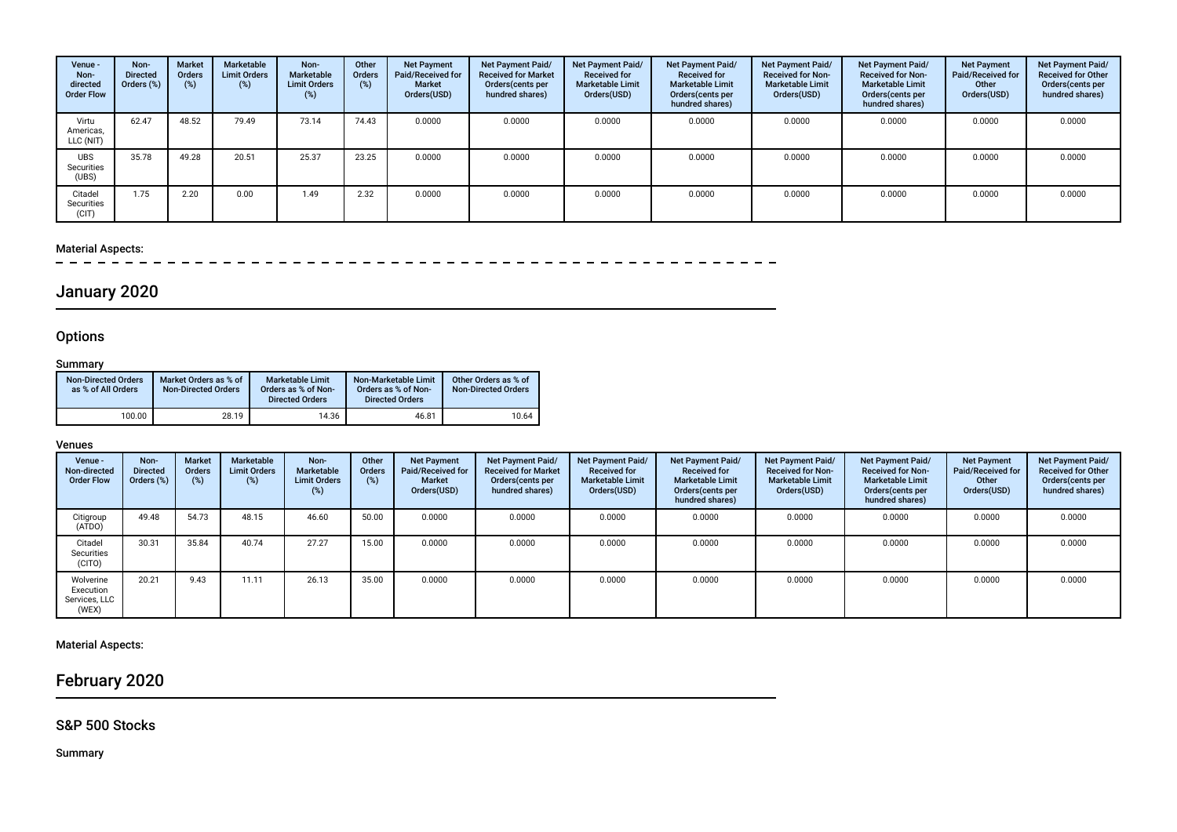| Venue -<br>Non-<br>directed<br><b>Order Flow</b> | Non-<br><b>Directed</b><br>Orders (%) | <b>Market</b><br>Orders<br>(%) | Marketable<br><b>Limit Orders</b><br>(%) | Non-<br>Marketable<br><b>Limit Orders</b><br>$(\%)$ | Other<br>Orders<br>(%) | <b>Net Payment</b><br>Paid/Received for<br><b>Market</b><br>Orders(USD) | <b>Net Payment Paid/</b><br><b>Received for Market</b><br>Orders(cents per<br>hundred shares) | <b>Net Payment Paid/</b><br><b>Received for</b><br><b>Marketable Limit</b><br>Orders(USD) | Net Payment Paid/<br><b>Received for</b><br><b>Marketable Limit</b><br>Orders (cents per<br>hundred shares) | <b>Net Payment Paid/</b><br><b>Received for Non-</b><br><b>Marketable Limit</b><br>Orders(USD) | Net Payment Paid/<br><b>Received for Non-</b><br><b>Marketable Limit</b><br>Orders (cents per<br>hundred shares) | <b>Net Payment</b><br><b>Paid/Received for</b><br>Other<br>Orders(USD) | Net Payment Paid/<br><b>Received for Other</b><br>Orders(cents per<br>hundred shares) |
|--------------------------------------------------|---------------------------------------|--------------------------------|------------------------------------------|-----------------------------------------------------|------------------------|-------------------------------------------------------------------------|-----------------------------------------------------------------------------------------------|-------------------------------------------------------------------------------------------|-------------------------------------------------------------------------------------------------------------|------------------------------------------------------------------------------------------------|------------------------------------------------------------------------------------------------------------------|------------------------------------------------------------------------|---------------------------------------------------------------------------------------|
| Virtu<br>Americas,<br>LLC (NIT)                  | 62.47                                 | 48.52                          | 79.49                                    | 73.14                                               | 74.43                  | 0.0000                                                                  | 0.0000                                                                                        | 0.0000                                                                                    | 0.0000                                                                                                      | 0.0000                                                                                         | 0.0000                                                                                                           | 0.0000                                                                 | 0.0000                                                                                |
| <b>UBS</b><br>Securities<br>(UBS)                | 35.78                                 | 49.28                          | 20.51                                    | 25.37                                               | 23.25                  | 0.0000                                                                  | 0.0000                                                                                        | 0.0000                                                                                    | 0.0000                                                                                                      | 0.0000                                                                                         | 0.0000                                                                                                           | 0.0000                                                                 | 0.0000                                                                                |
| Citadel<br>Securities<br>(CIT)                   | 1.75                                  | 2.20                           | 0.00                                     | 1.49                                                | 2.32                   | 0.0000                                                                  | 0.0000                                                                                        | 0.0000                                                                                    | 0.0000                                                                                                      | 0.0000                                                                                         | 0.0000                                                                                                           | 0.0000                                                                 | 0.0000                                                                                |

# Material Aspects:<br> $= -$  =  $= -$

# January 2020

## **Options**

### **Summary**

| <b>Non-Directed Orders</b><br>as % of All Orders | Market Orders as % of<br><b>Non-Directed Orders</b> | <b>Marketable Limit</b><br>Orders as % of Non-<br><b>Directed Orders</b> | Non-Marketable Limit<br>Orders as % of Non-<br><b>Directed Orders</b> | Other Orders as % of<br><b>Non-Directed Orders</b> |
|--------------------------------------------------|-----------------------------------------------------|--------------------------------------------------------------------------|-----------------------------------------------------------------------|----------------------------------------------------|
| 100.00                                           | 28.19                                               | 14.36                                                                    | 46.81                                                                 | 10.64                                              |

#### Venues

| Venue -<br>Non-directed<br><b>Order Flow</b>     | Non-<br>Directed<br>Orders (%) | <b>Market</b><br><b>Orders</b><br>(%) | Marketable<br><b>Limit Orders</b><br>(%) | Non-<br>Marketable<br><b>Limit Orders</b><br>(%) | Other<br>Orders<br>(%) | <b>Net Payment</b><br>Paid/Received for<br><b>Market</b><br>Orders(USD) | Net Payment Paid/<br><b>Received for Market</b><br>Orders(cents per<br>hundred shares) | Net Payment Paid/<br><b>Received for</b><br><b>Marketable Limit</b><br>Orders(USD) | Net Payment Paid/<br><b>Received for</b><br><b>Marketable Limit</b><br>Orders (cents per<br>hundred shares) | <b>Net Payment Paid/</b><br><b>Received for Non-</b><br><b>Marketable Limit</b><br>Orders(USD) | <b>Net Payment Paid/</b><br><b>Received for Non-</b><br><b>Marketable Limit</b><br>Orders (cents per<br>hundred shares) | <b>Net Payment</b><br>Paid/Received for<br>Other<br>Orders(USD) | Net Payment Paid/<br><b>Received for Other</b><br>Orders (cents per<br>hundred shares) |
|--------------------------------------------------|--------------------------------|---------------------------------------|------------------------------------------|--------------------------------------------------|------------------------|-------------------------------------------------------------------------|----------------------------------------------------------------------------------------|------------------------------------------------------------------------------------|-------------------------------------------------------------------------------------------------------------|------------------------------------------------------------------------------------------------|-------------------------------------------------------------------------------------------------------------------------|-----------------------------------------------------------------|----------------------------------------------------------------------------------------|
| Citigroup<br>(ATDO)                              | 49.48                          | 54.73                                 | 48.15                                    | 46.60                                            | 50.00                  | 0.0000                                                                  | 0.0000                                                                                 | 0.0000                                                                             | 0.0000                                                                                                      | 0.0000                                                                                         | 0.0000                                                                                                                  | 0.0000                                                          | 0.0000                                                                                 |
| Citadel<br>Securities<br>(CITO)                  | 30.31                          | 35.84                                 | 40.74                                    | 27.27                                            | 15.00                  | 0.0000                                                                  | 0.0000                                                                                 | 0.0000                                                                             | 0.0000                                                                                                      | 0.0000                                                                                         | 0.0000                                                                                                                  | 0.0000                                                          | 0.0000                                                                                 |
| Wolverine<br>Execution<br>Services, LLC<br>(WEX) | 20.21                          | 9.43                                  | 11.11                                    | 26.13                                            | 35.00                  | 0.0000                                                                  | 0.0000                                                                                 | 0.0000                                                                             | 0.0000                                                                                                      | 0.0000                                                                                         | 0.0000                                                                                                                  | 0.0000                                                          | 0.0000                                                                                 |

## Material Aspects:

## February 2020

## S&P 500 Stocks

Summary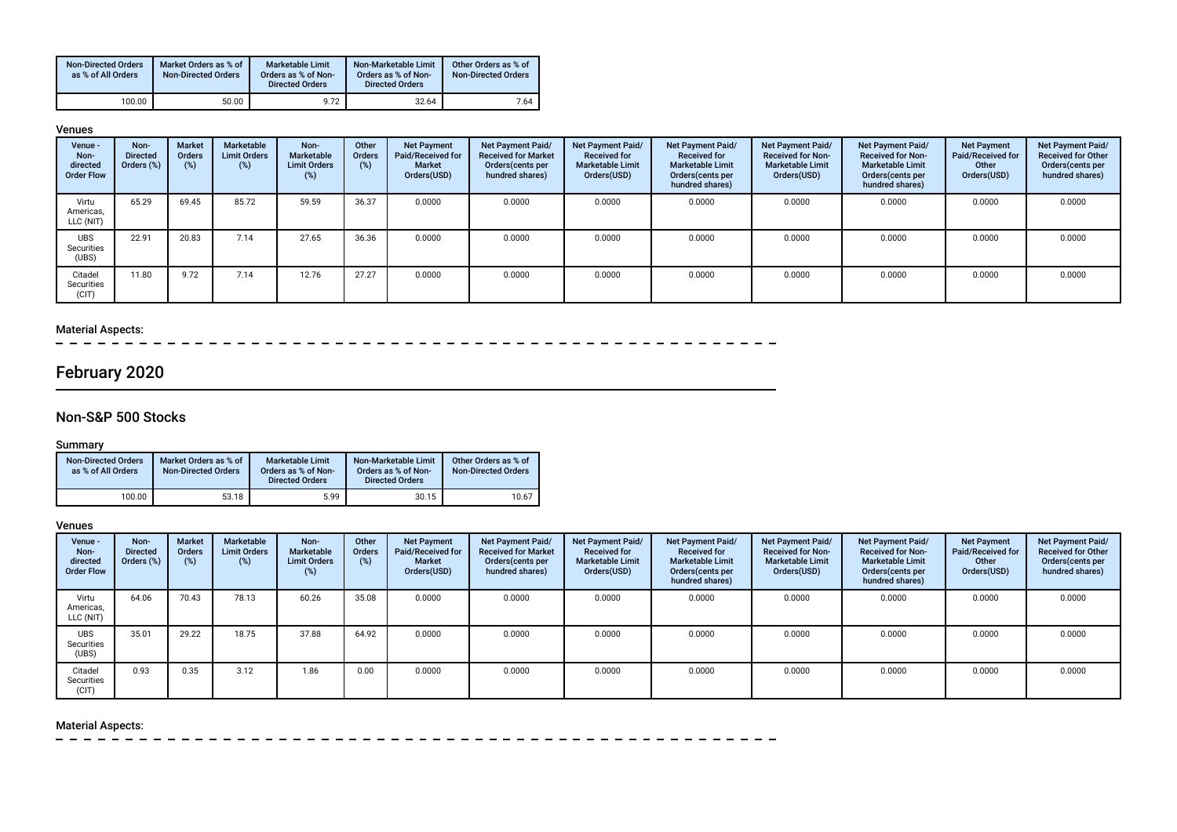| <b>Non-Directed Orders</b><br>as % of All Orders | Market Orders as % of<br><b>Non-Directed Orders</b> | <b>Marketable Limit</b><br>Orders as % of Non-<br><b>Directed Orders</b> | Non-Marketable Limit<br>Orders as % of Non-<br><b>Directed Orders</b> | Other Orders as % of<br><b>Non-Directed Orders</b> |
|--------------------------------------------------|-----------------------------------------------------|--------------------------------------------------------------------------|-----------------------------------------------------------------------|----------------------------------------------------|
| 100.00                                           | 50.00                                               | 9.72                                                                     | 32.64                                                                 | 7.64                                               |

#### Venues

| Venue -<br>Non-<br>directed<br><b>Order Flow</b> | Non-<br><b>Directed</b><br>Orders (%) | <b>Market</b><br>Orders<br>(%) | Marketable<br><b>Limit Orders</b><br>(%) | Non-<br>Marketable<br><b>Limit Orders</b> | Other<br>Orders<br>(%) | <b>Net Payment</b><br>Paid/Received for<br><b>Market</b><br>Orders(USD) | Net Payment Paid/<br><b>Received for Market</b><br>Orders (cents per<br>hundred shares) | Net Payment Paid/<br><b>Received for</b><br><b>Marketable Limit</b><br>Orders(USD) | Net Payment Paid/<br><b>Received for</b><br><b>Marketable Limit</b><br>Orders (cents per<br>hundred shares) | <b>Net Payment Paid/</b><br><b>Received for Non-</b><br><b>Marketable Limit</b><br>Orders(USD) | Net Payment Paid/<br><b>Received for Non-</b><br><b>Marketable Limit</b><br>Orders (cents per<br>hundred shares) | <b>Net Payment</b><br>Paid/Received for<br>Other<br>Orders(USD) | <b>Net Payment Paid/</b><br><b>Received for Other</b><br>Orders(cents per<br>hundred shares) |
|--------------------------------------------------|---------------------------------------|--------------------------------|------------------------------------------|-------------------------------------------|------------------------|-------------------------------------------------------------------------|-----------------------------------------------------------------------------------------|------------------------------------------------------------------------------------|-------------------------------------------------------------------------------------------------------------|------------------------------------------------------------------------------------------------|------------------------------------------------------------------------------------------------------------------|-----------------------------------------------------------------|----------------------------------------------------------------------------------------------|
| Virtu<br>Americas,<br>LLC (NIT)                  | 65.29                                 | 69.45                          | 85.72                                    | 59.59                                     | 36.37                  | 0.0000                                                                  | 0.0000                                                                                  | 0.0000                                                                             | 0.0000                                                                                                      | 0.0000                                                                                         | 0.0000                                                                                                           | 0.0000                                                          | 0.0000                                                                                       |
| <b>UBS</b><br>Securities<br>(UBS)                | 22.91                                 | 20.83                          | 7.14                                     | 27.65                                     | 36.36                  | 0.0000                                                                  | 0.0000                                                                                  | 0.0000                                                                             | 0.0000                                                                                                      | 0.0000                                                                                         | 0.0000                                                                                                           | 0.0000                                                          | 0.0000                                                                                       |
| Citadel<br>Securities<br>(CIT)                   | 11.80                                 | 9.72                           | 7.14                                     | 12.76                                     | 27.27                  | 0.0000                                                                  | 0.0000                                                                                  | 0.0000                                                                             | 0.0000                                                                                                      | 0.0000                                                                                         | 0.0000                                                                                                           | 0.0000                                                          | 0.0000                                                                                       |

### Material Aspects:

 $\equiv$ - - - -

# February 2020

## Non-S&P 500 Stocks

### Summary

| <b>Non-Directed Orders</b><br>as % of All Orders | Market Orders as % of<br><b>Non-Directed Orders</b> | Marketable Limit<br>Orders as % of Non-<br><b>Directed Orders</b> | Non-Marketable Limit<br>Orders as % of Non-<br><b>Directed Orders</b> | Other Orders as % of<br><b>Non-Directed Orders</b> |
|--------------------------------------------------|-----------------------------------------------------|-------------------------------------------------------------------|-----------------------------------------------------------------------|----------------------------------------------------|
| 100.00                                           | 53.18                                               | 5.99                                                              | 30.15                                                                 | 10.67                                              |

#### Venues

| Venue -<br>Non-<br>directed<br><b>Order Flow</b> | Non-<br><b>Directed</b><br>Orders (%) | <b>Market</b><br><b>Orders</b><br>(%) | Marketable<br><b>Limit Orders</b><br>(%) | Non-<br>Marketable<br><b>Limit Orders</b><br>$(\%)$ | Other<br><b>Orders</b><br>(%) | <b>Net Payment</b><br>Paid/Received for<br>Market<br>Orders(USD) | <b>Net Payment Paid/</b><br><b>Received for Market</b><br>Orders (cents per<br>hundred shares) | Net Payment Paid/<br><b>Received for</b><br><b>Marketable Limit</b><br>Orders(USD) | Net Payment Paid/<br><b>Received for</b><br><b>Marketable Limit</b><br>Orders (cents per<br>hundred shares) | Net Payment Paid/<br><b>Received for Non-</b><br><b>Marketable Limit</b><br>Orders(USD) | Net Payment Paid/<br><b>Received for Non-</b><br><b>Marketable Limit</b><br>Orders (cents per<br>hundred shares) | <b>Net Payment</b><br>Paid/Received for<br>Other<br>Orders(USD) | Net Payment Paid/<br><b>Received for Other</b><br>Orders(cents per<br>hundred shares) |
|--------------------------------------------------|---------------------------------------|---------------------------------------|------------------------------------------|-----------------------------------------------------|-------------------------------|------------------------------------------------------------------|------------------------------------------------------------------------------------------------|------------------------------------------------------------------------------------|-------------------------------------------------------------------------------------------------------------|-----------------------------------------------------------------------------------------|------------------------------------------------------------------------------------------------------------------|-----------------------------------------------------------------|---------------------------------------------------------------------------------------|
| Virtu<br>Americas,<br>LLC (NIT)                  | 64.06                                 | 70.43                                 | 78.13                                    | 60.26                                               | 35.08                         | 0.0000                                                           | 0.0000                                                                                         | 0.0000                                                                             | 0.0000                                                                                                      | 0.0000                                                                                  | 0.0000                                                                                                           | 0.0000                                                          | 0.0000                                                                                |
| <b>UBS</b><br>Securities<br>(UBS)                | 35.01                                 | 29.22                                 | 18.75                                    | 37.88                                               | 64.92                         | 0.0000                                                           | 0.0000                                                                                         | 0.0000                                                                             | 0.0000                                                                                                      | 0.0000                                                                                  | 0.0000                                                                                                           | 0.0000                                                          | 0.0000                                                                                |
| Citadel<br>Securities<br>(CIT)                   | 0.93                                  | 0.35                                  | 3.12                                     | 1.86                                                | 0.00                          | 0.0000                                                           | 0.0000                                                                                         | 0.0000                                                                             | 0.0000                                                                                                      | 0.0000                                                                                  | 0.0000                                                                                                           | 0.0000                                                          | 0.0000                                                                                |

## Material Aspects:

 $\sim$  $\sim$  $\sim$  $\frac{1}{2} \left( \frac{1}{2} \right) \left( \frac{1}{2} \right) \left( \frac{1}{2} \right) \left( \frac{1}{2} \right) \left( \frac{1}{2} \right)$  $\sim$  $-$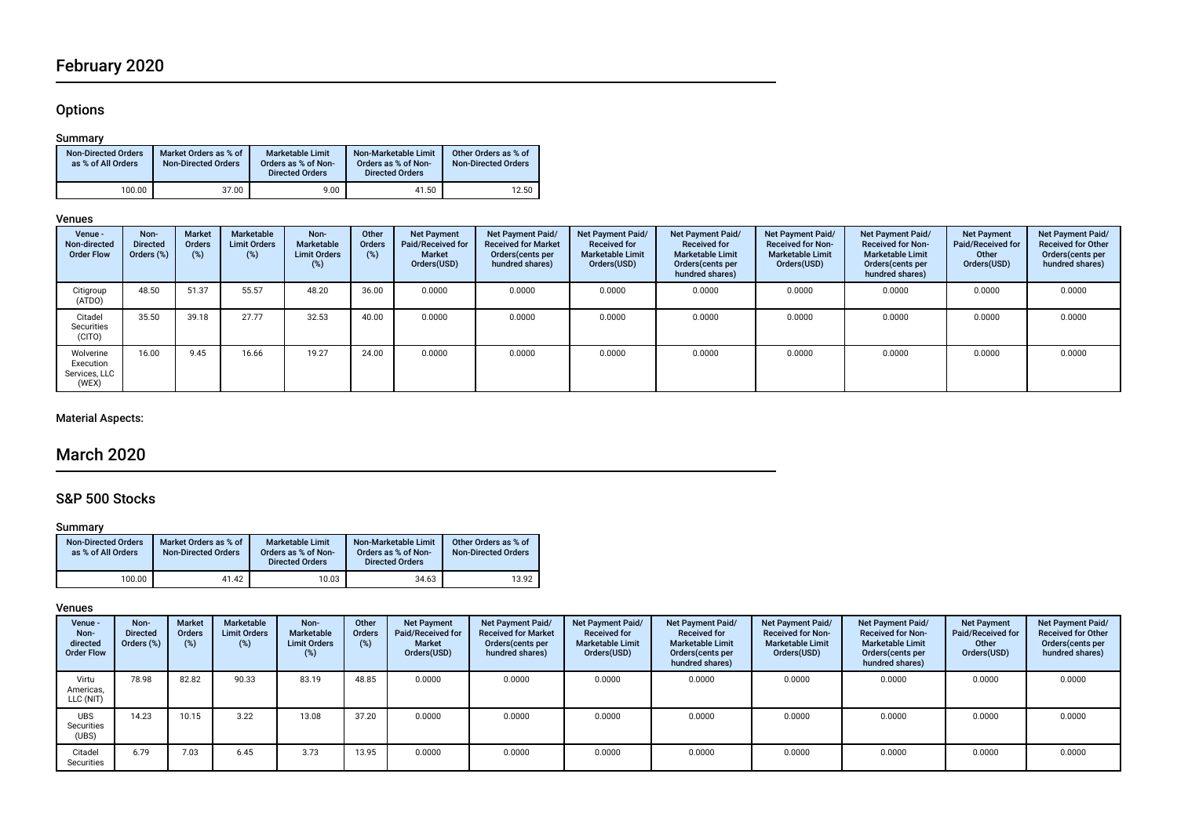# February 2020

## **Options**

#### Summary

| <b>Non-Directed Orders</b><br>as % of All Orders | Market Orders as % of<br><b>Non-Directed Orders</b> | Marketable Limit<br>Orders as % of Non-<br><b>Directed Orders</b> | Non-Marketable Limit<br>Orders as % of Non-<br><b>Directed Orders</b> | Other Orders as % of<br><b>Non-Directed Orders</b> |
|--------------------------------------------------|-----------------------------------------------------|-------------------------------------------------------------------|-----------------------------------------------------------------------|----------------------------------------------------|
| 100.00                                           | 37.00                                               | 9.00                                                              | 41.50                                                                 | 12.50                                              |

### Venues

| Venue -<br>Non-directed<br><b>Order Flow</b>     | Non-<br><b>Directed</b><br>Orders (%) | <b>Market</b><br><b>Orders</b><br>$(\%)$ | Marketable<br><b>Limit Orders</b><br>(%) | Non-<br>Marketable<br><b>Limit Orders</b><br>(%) | Other<br>Orders<br>(%) | <b>Net Payment</b><br>Paid/Received for<br><b>Market</b><br>Orders(USD) | <b>Net Payment Paid/</b><br><b>Received for Market</b><br>Orders (cents per<br>hundred shares) | Net Payment Paid/<br><b>Received for</b><br><b>Marketable Limit</b><br>Orders(USD) | Net Payment Paid/<br><b>Received for</b><br><b>Marketable Limit</b><br>Orders (cents per<br>hundred shares) | Net Payment Paid/<br><b>Received for Non-</b><br><b>Marketable Limit</b><br>Orders(USD) | Net Payment Paid/<br><b>Received for Non-</b><br><b>Marketable Limit</b><br>Orders (cents per<br>hundred shares) | <b>Net Payment</b><br>Paid/Received for<br>Other<br>Orders(USD) | Net Payment Paid/<br><b>Received for Other</b><br>Orders (cents per<br>hundred shares) |
|--------------------------------------------------|---------------------------------------|------------------------------------------|------------------------------------------|--------------------------------------------------|------------------------|-------------------------------------------------------------------------|------------------------------------------------------------------------------------------------|------------------------------------------------------------------------------------|-------------------------------------------------------------------------------------------------------------|-----------------------------------------------------------------------------------------|------------------------------------------------------------------------------------------------------------------|-----------------------------------------------------------------|----------------------------------------------------------------------------------------|
| Citigroup<br>(ATDO)                              | 48.50                                 | 51.37                                    | 55.57                                    | 48.20                                            | 36.00                  | 0.0000                                                                  | 0.0000                                                                                         | 0.0000                                                                             | 0.0000                                                                                                      | 0.0000                                                                                  | 0.0000                                                                                                           | 0.0000                                                          | 0.0000                                                                                 |
| Citadel<br>Securities<br>(CITO)                  | 35.50                                 | 39.18                                    | 27.77                                    | 32.53                                            | 40.00                  | 0.0000                                                                  | 0.0000                                                                                         | 0.0000                                                                             | 0.0000                                                                                                      | 0.0000                                                                                  | 0.0000                                                                                                           | 0.0000                                                          | 0.0000                                                                                 |
| Wolverine<br>Execution<br>Services, LLC<br>(WEX) | 16.00                                 | 9.45                                     | 16.66                                    | 19.27                                            | 24.00                  | 0.0000                                                                  | 0.0000                                                                                         | 0.0000                                                                             | 0.0000                                                                                                      | 0.0000                                                                                  | 0.0000                                                                                                           | 0.0000                                                          | 0.0000                                                                                 |

## Material Aspects:

## March 2020

## S&P 500 Stocks

#### Summary

| <b>Non-Directed Orders</b><br>as % of All Orders | Market Orders as % of<br><b>Non-Directed Orders</b> | Marketable Limit<br>Orders as % of Non-<br><b>Directed Orders</b> | Non-Marketable Limit<br>Orders as % of Non-<br><b>Directed Orders</b> | Other Orders as % of<br><b>Non-Directed Orders</b> |
|--------------------------------------------------|-----------------------------------------------------|-------------------------------------------------------------------|-----------------------------------------------------------------------|----------------------------------------------------|
| 100.00                                           | 41.42                                               | 10.03                                                             | 34.63                                                                 | 13.92                                              |

#### Venues

| Venue -<br>Non-<br>directed<br><b>Order Flow</b> | Non-<br><b>Directed</b><br>Orders (%) | <b>Market</b><br><b>Orders</b><br>(%) | Marketable<br><b>Limit Orders</b><br>$(\%)$ | Non-<br>Marketable<br><b>Limit Orders</b><br>(%) | Other<br>Orders<br>(%) | <b>Net Payment</b><br>Paid/Received for<br>Market<br>Orders(USD) | <b>Net Payment Paid/</b><br><b>Received for Market</b><br>Orders (cents per<br>hundred shares) | <b>Net Payment Paid/</b><br><b>Received for</b><br><b>Marketable Limit</b><br>Orders(USD) | Net Payment Paid/<br><b>Received for</b><br><b>Marketable Limit</b><br>Orders (cents per<br>hundred shares) | <b>Net Payment Paid/</b><br><b>Received for Non-</b><br><b>Marketable Limit</b><br>Orders(USD) | Net Payment Paid/<br><b>Received for Non-</b><br><b>Marketable Limit</b><br>Orders (cents per<br>hundred shares) | <b>Net Payment</b><br><b>Paid/Received for</b><br>Other<br>Orders(USD) | Net Payment Paid/<br><b>Received for Other</b><br>Orders(cents per<br>hundred shares) |
|--------------------------------------------------|---------------------------------------|---------------------------------------|---------------------------------------------|--------------------------------------------------|------------------------|------------------------------------------------------------------|------------------------------------------------------------------------------------------------|-------------------------------------------------------------------------------------------|-------------------------------------------------------------------------------------------------------------|------------------------------------------------------------------------------------------------|------------------------------------------------------------------------------------------------------------------|------------------------------------------------------------------------|---------------------------------------------------------------------------------------|
| Virtu<br>Americas,<br>LLC (NIT)                  | 78.98                                 | 82.82                                 | 90.33                                       | 83.19                                            | 48.85                  | 0.0000                                                           | 0.0000                                                                                         | 0.0000                                                                                    | 0.0000                                                                                                      | 0.0000                                                                                         | 0.0000                                                                                                           | 0.0000                                                                 | 0.0000                                                                                |
| <b>UBS</b><br>Securities<br>(UBS)                | 14.23                                 | 10.15                                 | 3.22                                        | 13.08                                            | 37.20                  | 0.0000                                                           | 0.0000                                                                                         | 0.0000                                                                                    | 0.0000                                                                                                      | 0.0000                                                                                         | 0.0000                                                                                                           | 0.0000                                                                 | 0.0000                                                                                |
| Citadel<br>Securities                            | 6.79                                  | 7.03                                  | 6.45                                        | 3.73                                             | 13.95                  | 0.0000                                                           | 0.0000                                                                                         | 0.0000                                                                                    | 0.0000                                                                                                      | 0.0000                                                                                         | 0.0000                                                                                                           | 0.0000                                                                 | 0.0000                                                                                |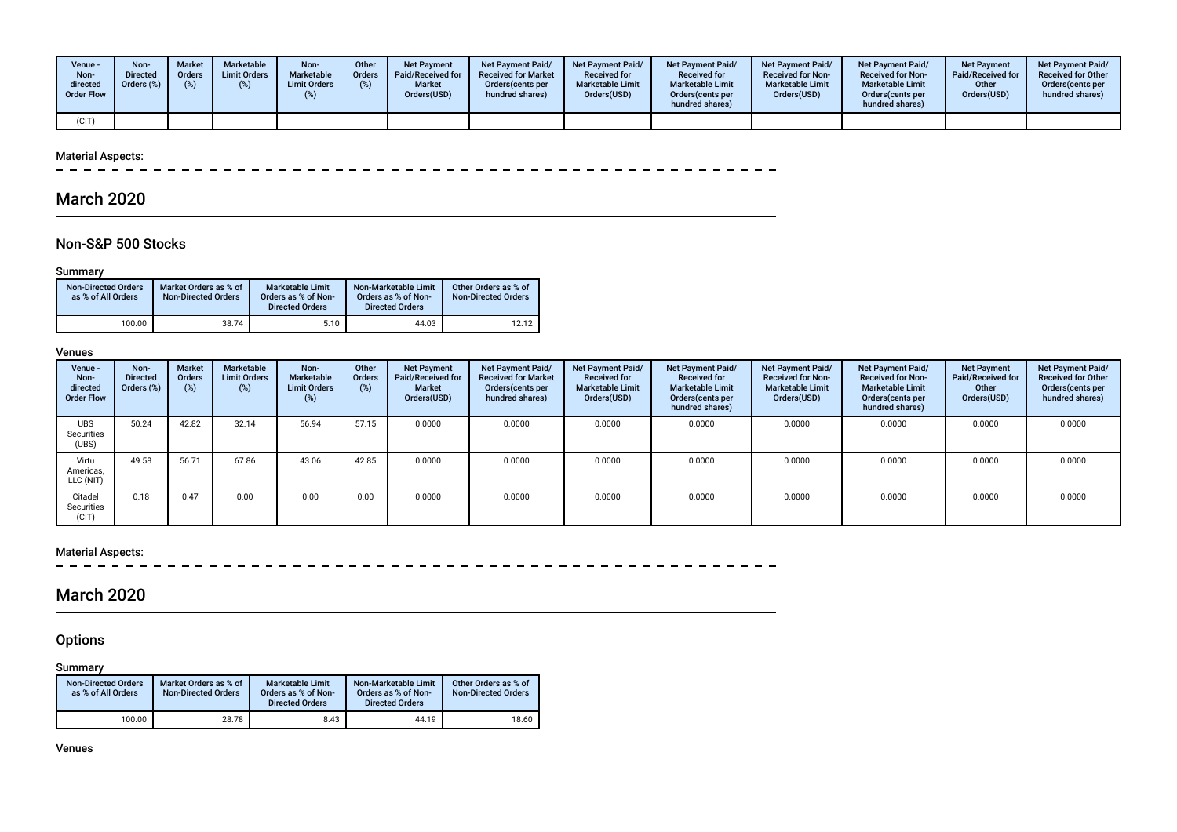| Venue ·<br>Non-<br>directed<br><b>Order Flow</b> | Non-<br><b>Directed</b><br>Orders $(\%)$ | <b>Market</b><br>Orders | <b>Marketable</b><br><b>Limit Orders</b> | Non-<br>Marketable<br>Limit Orders | Other<br><b>Orders</b><br>(%) | <b>Net Payment</b><br>Paid/Received for<br><b>Market</b><br>Orders(USD) | <b>Net Payment Paid/</b><br><b>Received for Market</b><br>Orders(cents per<br>hundred shares) | Net Payment Paid/<br><b>Received for</b><br><b>Marketable Limit</b><br>Orders(USD) | <b>Net Payment Paid/</b><br><b>Received for</b><br><b>Marketable Limit</b><br>Orders(cents per<br>hundred shares) | <b>Net Payment Paid/</b><br><b>Received for Non-</b><br><b>Marketable Limit</b><br>Orders(USD) | <b>Net Payment Paid/</b><br><b>Received for Non-</b><br><b>Marketable Limit</b><br>Orders (cents per<br>hundred shares) | <b>Net Payment</b><br>Paid/Received for<br>Other<br>Orders(USD) | Net Payment Paid/<br><b>Received for Other</b><br>Orders(cents per<br>hundred shares) |
|--------------------------------------------------|------------------------------------------|-------------------------|------------------------------------------|------------------------------------|-------------------------------|-------------------------------------------------------------------------|-----------------------------------------------------------------------------------------------|------------------------------------------------------------------------------------|-------------------------------------------------------------------------------------------------------------------|------------------------------------------------------------------------------------------------|-------------------------------------------------------------------------------------------------------------------------|-----------------------------------------------------------------|---------------------------------------------------------------------------------------|
| (CIT)                                            |                                          |                         |                                          |                                    |                               |                                                                         |                                                                                               |                                                                                    |                                                                                                                   |                                                                                                |                                                                                                                         |                                                                 |                                                                                       |

### Material Aspects:

 $\sim$ 

## March 2020

## Non-S&P 500 Stocks

#### Summary

| <b>Non-Directed Orders</b><br>as % of All Orders | Market Orders as % of<br><b>Non-Directed Orders</b> | <b>Marketable Limit</b><br>Orders as % of Non-<br><b>Directed Orders</b> | Non-Marketable Limit<br>Orders as % of Non-<br><b>Directed Orders</b> | Other Orders as % of<br><b>Non-Directed Orders</b> |
|--------------------------------------------------|-----------------------------------------------------|--------------------------------------------------------------------------|-----------------------------------------------------------------------|----------------------------------------------------|
| 100.00                                           | 38.74                                               | 5.10                                                                     | 44.03                                                                 | 12.12                                              |

#### Venues

| Venue -<br>Non-<br>directed<br><b>Order Flow</b> | Non-<br><b>Directed</b><br>Orders (%) | <b>Market</b><br><b>Orders</b><br>(%) | Marketable<br><b>Limit Orders</b><br>(%) | Non-<br>Marketable<br><b>Limit Orders</b><br>$(\%)$ | Other<br>Orders<br>(%) | <b>Net Payment</b><br>Paid/Received for<br>Market<br>Orders(USD) | <b>Net Payment Paid/</b><br><b>Received for Market</b><br>Orders (cents per<br>hundred shares) | <b>Net Payment Paid/</b><br><b>Received for</b><br><b>Marketable Limit</b><br>Orders(USD) | Net Payment Paid/<br><b>Received for</b><br><b>Marketable Limit</b><br>Orders (cents per<br>hundred shares) | <b>Net Payment Paid/</b><br><b>Received for Non-</b><br><b>Marketable Limit</b><br>Orders(USD) | Net Payment Paid/<br><b>Received for Non-</b><br><b>Marketable Limit</b><br>Orders (cents per<br>hundred shares) | <b>Net Payment</b><br>Paid/Received for<br>Other<br>Orders(USD) | Net Payment Paid/<br><b>Received for Other</b><br>Orders(cents per<br>hundred shares) |
|--------------------------------------------------|---------------------------------------|---------------------------------------|------------------------------------------|-----------------------------------------------------|------------------------|------------------------------------------------------------------|------------------------------------------------------------------------------------------------|-------------------------------------------------------------------------------------------|-------------------------------------------------------------------------------------------------------------|------------------------------------------------------------------------------------------------|------------------------------------------------------------------------------------------------------------------|-----------------------------------------------------------------|---------------------------------------------------------------------------------------|
| <b>UBS</b><br>Securities<br>(UBS)                | 50.24                                 | 42.82                                 | 32.14                                    | 56.94                                               | 57.15                  | 0.0000                                                           | 0.0000                                                                                         | 0.0000                                                                                    | 0.0000                                                                                                      | 0.0000                                                                                         | 0.0000                                                                                                           | 0.0000                                                          | 0.0000                                                                                |
| Virtu<br>Americas,<br>LLC (NIT)                  | 49.58                                 | 56.71                                 | 67.86                                    | 43.06                                               | 42.85                  | 0.0000                                                           | 0.0000                                                                                         | 0.0000                                                                                    | 0.0000                                                                                                      | 0.0000                                                                                         | 0.0000                                                                                                           | 0.0000                                                          | 0.0000                                                                                |
| Citadel<br>Securities<br>(CIT)                   | 0.18                                  | 0.47                                  | 0.00                                     | 0.00                                                | 0.00                   | 0.0000                                                           | 0.0000                                                                                         | 0.0000                                                                                    | 0.0000                                                                                                      | 0.0000                                                                                         | 0.0000                                                                                                           | 0.0000                                                          | 0.0000                                                                                |

# Material Aspects:<br> $- - - - - -$

 $\sim$   $\sim$  $\sim$   $\sim$ 

## March 2020

## **Options**

#### Summary

| <b>Non-Directed Orders</b><br>as % of All Orders | Market Orders as % of<br><b>Non-Directed Orders</b> | <b>Marketable Limit</b><br>Orders as % of Non-<br><b>Directed Orders</b> | Non-Marketable Limit<br>Orders as % of Non-<br><b>Directed Orders</b> | Other Orders as % of<br><b>Non-Directed Orders</b> |
|--------------------------------------------------|-----------------------------------------------------|--------------------------------------------------------------------------|-----------------------------------------------------------------------|----------------------------------------------------|
| 100.00                                           | 28.78                                               | 8.43                                                                     | 44.19                                                                 | 18.60                                              |

Venues